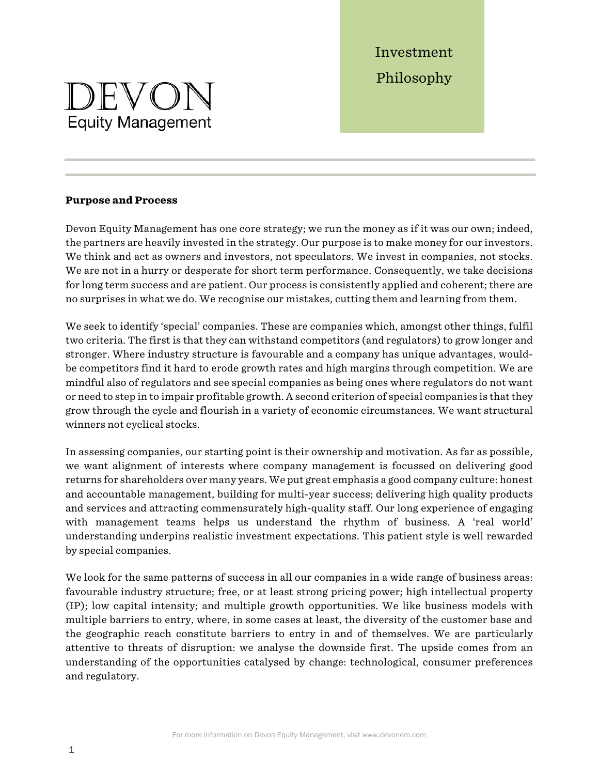Investment Philosophy

# DEVON **Equity Management**

#### **Purpose and Process**

Devon Equity Management has one core strategy; we run the money as if it was our own; indeed, the partners are heavily invested in the strategy. Our purpose is to make money for our investors. We think and act as owners and investors, not speculators. We invest in companies, not stocks. We are not in a hurry or desperate for short term performance. Consequently, we take decisions for long term success and are patient. Our process is consistently applied and coherent; there are no surprises in what we do. We recognise our mistakes, cutting them and learning from them.

We seek to identify 'special' companies. These are companies which, amongst other things, fulfil two criteria. The first is that they can withstand competitors (and regulators) to grow longer and stronger. Where industry structure is favourable and a company has unique advantages, wouldbe competitors find it hard to erode growth rates and high margins through competition. We are mindful also of regulators and see special companies as being ones where regulators do not want or need to step in to impair profitable growth. A second criterion of special companies is that they grow through the cycle and flourish in a variety of economic circumstances. We want structural winners not cyclical stocks.

In assessing companies, our starting point is their ownership and motivation. As far as possible, we want alignment of interests where company management is focussed on delivering good returns for shareholders over many years. We put great emphasis a good company culture: honest and accountable management, building for multi-year success; delivering high quality products and services and attracting commensurately high-quality staff. Our long experience of engaging with management teams helps us understand the rhythm of business. A 'real world' understanding underpins realistic investment expectations. This patient style is well rewarded by special companies.

We look for the same patterns of success in all our companies in a wide range of business areas: favourable industry structure; free, or at least strong pricing power; high intellectual property (IP); low capital intensity; and multiple growth opportunities. We like business models with multiple barriers to entry, where, in some cases at least, the diversity of the customer base and the geographic reach constitute barriers to entry in and of themselves. We are particularly attentive to threats of disruption: we analyse the downside first. The upside comes from an understanding of the opportunities catalysed by change: technological, consumer preferences and regulatory.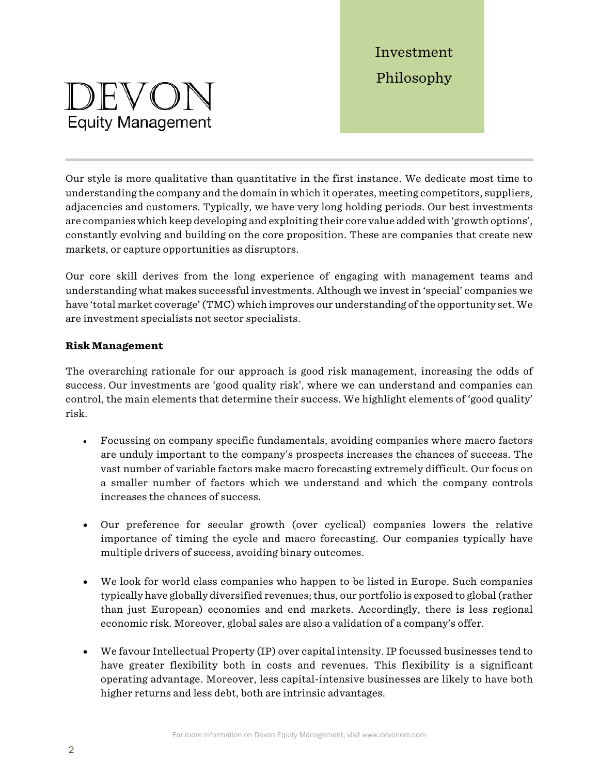# DEVON **Equity Management**

Investment Philosophy

Our style is more qualitative than quantitative in the first instance. We dedicate most time to understanding the company and the domain in which it operates, meeting competitors, suppliers, adjacencies and customers. Typically, we have very long holding periods. Our best investments are companies which keep developing and exploiting their core value added with 'growth options', constantly evolving and building on the core proposition. These are companies that create new markets, or capture opportunities as disruptors.

Our core skill derives from the long experience of engaging with management teams and understanding what makes successful investments. Although we invest in 'special' companies we have 'total market coverage' (TMC) which improves our understanding of the opportunity set. We are investment specialists not sector specialists.

### **Risk Management**

The overarching rationale for our approach is good risk management, increasing the odds of success. Our investments are 'good quality risk', where we can understand and companies can control, the main elements that determine their success. We highlight elements of 'good quality' risk.

- Focussing on company specific fundamentals, avoiding companies where macro factors are unduly important to the company's prospects increases the chances of success. The vast number of variable factors make macro forecasting extremely difficult. Our focus on a smaller number of factors which we understand and which the company controls increases the chances of success.
- Our preference for secular growth (over cyclical) companies lowers the relative importance of timing the cycle and macro forecasting. Our companies typically have multiple drivers of success, avoiding binary outcomes.
- We look for world class companies who happen to be listed in Europe. Such companies typically have globally diversified revenues; thus, our portfolio is exposed to global (rather than just European) economies and end markets. Accordingly, there is less regional economic risk. Moreover, global sales are also a validation of a company's offer.
- We favour Intellectual Property (IP) over capital intensity. IP focussed businesses tend to have greater flexibility both in costs and revenues. This flexibility is a significant operating advantage. Moreover, less capital-intensive businesses are likely to have both higher returns and less debt, both are intrinsic advantages.